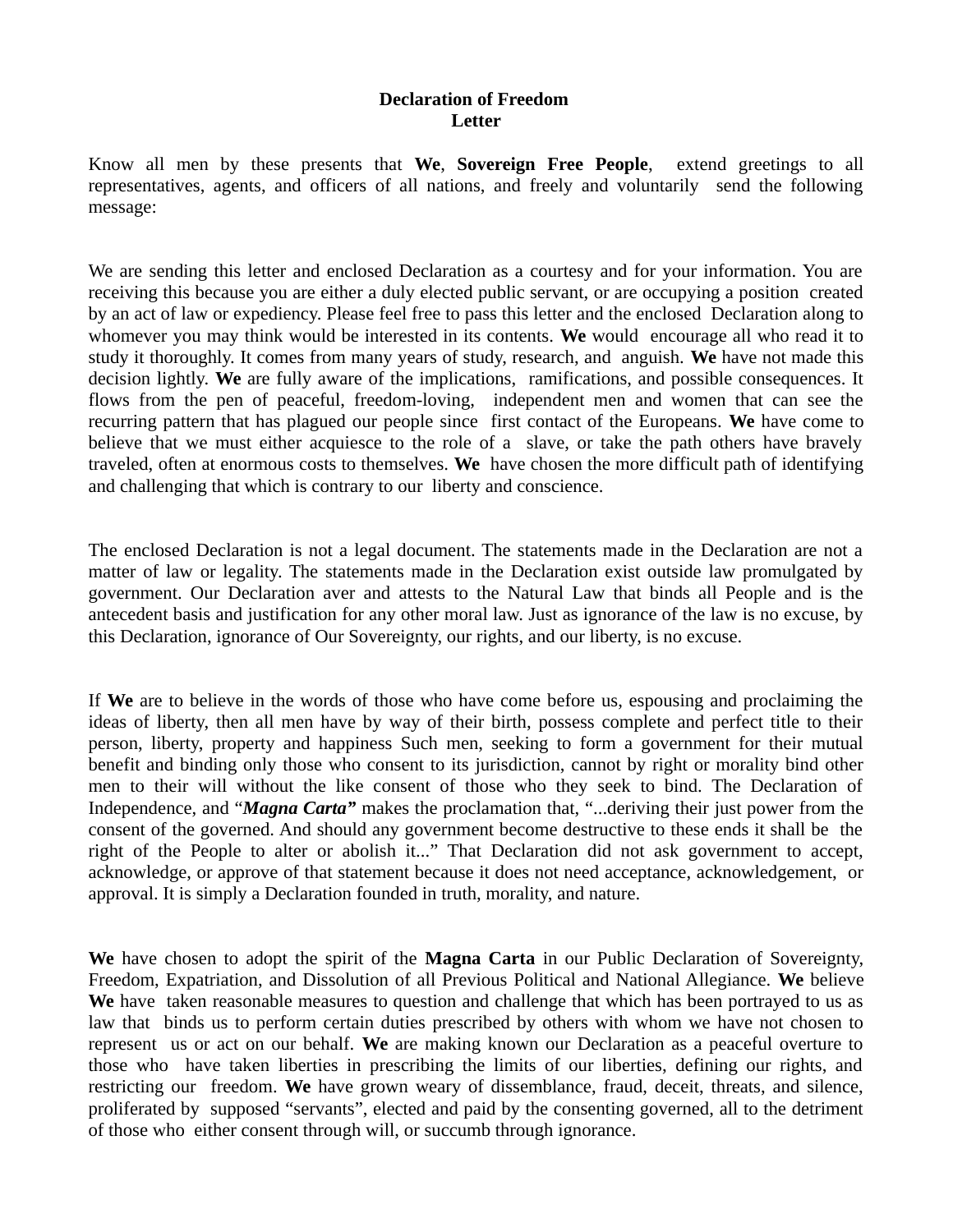## **Declaration of Freedom Letter**

Know all men by these presents that **We**, **Sovereign Free People**, extend greetings to all representatives, agents, and officers of all nations, and freely and voluntarily send the following message:

We are sending this letter and enclosed Declaration as a courtesy and for your information. You are receiving this because you are either a duly elected public servant, or are occupying a position created by an act of law or expediency. Please feel free to pass this letter and the enclosed Declaration along to whomever you may think would be interested in its contents. **We** would encourage all who read it to study it thoroughly. It comes from many years of study, research, and anguish. **We** have not made this decision lightly. **We** are fully aware of the implications, ramifications, and possible consequences. It flows from the pen of peaceful, freedom-loving, independent men and women that can see the recurring pattern that has plagued our people since first contact of the Europeans. **We** have come to believe that we must either acquiesce to the role of a slave, or take the path others have bravely traveled, often at enormous costs to themselves. **We** have chosen the more difficult path of identifying and challenging that which is contrary to our liberty and conscience.

The enclosed Declaration is not a legal document. The statements made in the Declaration are not a matter of law or legality. The statements made in the Declaration exist outside law promulgated by government. Our Declaration aver and attests to the Natural Law that binds all People and is the antecedent basis and justification for any other moral law. Just as ignorance of the law is no excuse, by this Declaration, ignorance of Our Sovereignty, our rights, and our liberty, is no excuse.

If **We** are to believe in the words of those who have come before us, espousing and proclaiming the ideas of liberty, then all men have by way of their birth, possess complete and perfect title to their person, liberty, property and happiness Such men, seeking to form a government for their mutual benefit and binding only those who consent to its jurisdiction, cannot by right or morality bind other men to their will without the like consent of those who they seek to bind. The Declaration of Independence, and "*Magna Carta"* makes the proclamation that, "...deriving their just power from the consent of the governed. And should any government become destructive to these ends it shall be the right of the People to alter or abolish it..." That Declaration did not ask government to accept, acknowledge, or approve of that statement because it does not need acceptance, acknowledgement, or approval. It is simply a Declaration founded in truth, morality, and nature.

**We** have chosen to adopt the spirit of the **Magna Carta** in our Public Declaration of Sovereignty, Freedom, Expatriation, and Dissolution of all Previous Political and National Allegiance. **We** believe We have taken reasonable measures to question and challenge that which has been portrayed to us as law that binds us to perform certain duties prescribed by others with whom we have not chosen to represent us or act on our behalf. **We** are making known our Declaration as a peaceful overture to those who have taken liberties in prescribing the limits of our liberties, defining our rights, and restricting our freedom. **We** have grown weary of dissemblance, fraud, deceit, threats, and silence, proliferated by supposed "servants", elected and paid by the consenting governed, all to the detriment of those who either consent through will, or succumb through ignorance.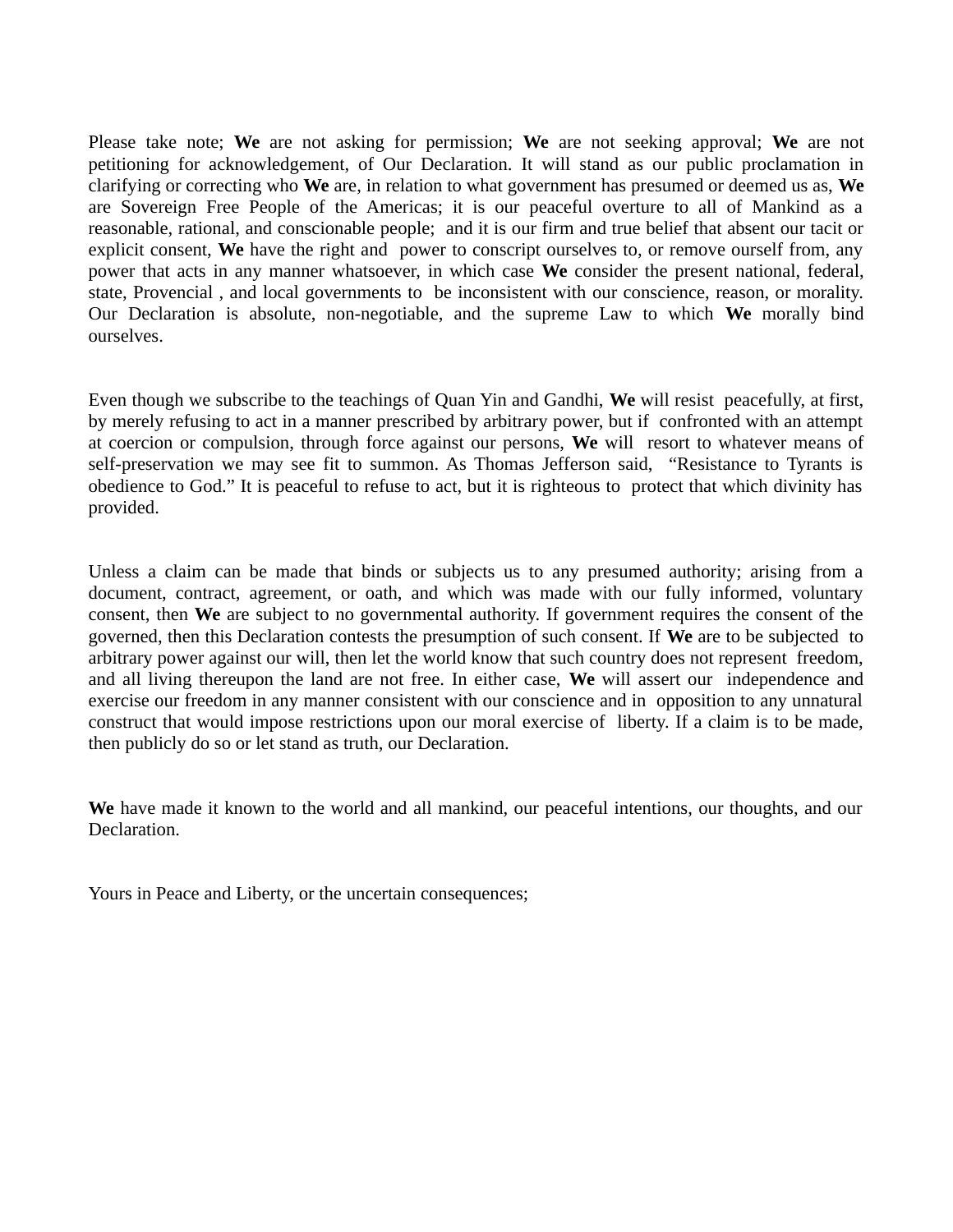Please take note; **We** are not asking for permission; **We** are not seeking approval; **We** are not petitioning for acknowledgement, of Our Declaration. It will stand as our public proclamation in clarifying or correcting who **We** are, in relation to what government has presumed or deemed us as, **We** are Sovereign Free People of the Americas; it is our peaceful overture to all of Mankind as a reasonable, rational, and conscionable people; and it is our firm and true belief that absent our tacit or explicit consent, **We** have the right and power to conscript ourselves to, or remove ourself from, any power that acts in any manner whatsoever, in which case **We** consider the present national, federal, state, Provencial , and local governments to be inconsistent with our conscience, reason, or morality. Our Declaration is absolute, non-negotiable, and the supreme Law to which **We** morally bind ourselves.

Even though we subscribe to the teachings of Quan Yin and Gandhi, **We** will resist peacefully, at first, by merely refusing to act in a manner prescribed by arbitrary power, but if confronted with an attempt at coercion or compulsion, through force against our persons, **We** will resort to whatever means of self-preservation we may see fit to summon. As Thomas Jefferson said, "Resistance to Tyrants is obedience to God." It is peaceful to refuse to act, but it is righteous to protect that which divinity has provided.

Unless a claim can be made that binds or subjects us to any presumed authority; arising from a document, contract, agreement, or oath, and which was made with our fully informed, voluntary consent, then **We** are subject to no governmental authority. If government requires the consent of the governed, then this Declaration contests the presumption of such consent. If **We** are to be subjected to arbitrary power against our will, then let the world know that such country does not represent freedom, and all living thereupon the land are not free. In either case, **We** will assert our independence and exercise our freedom in any manner consistent with our conscience and in opposition to any unnatural construct that would impose restrictions upon our moral exercise of liberty. If a claim is to be made, then publicly do so or let stand as truth, our Declaration.

**We** have made it known to the world and all mankind, our peaceful intentions, our thoughts, and our Declaration.

Yours in Peace and Liberty, or the uncertain consequences;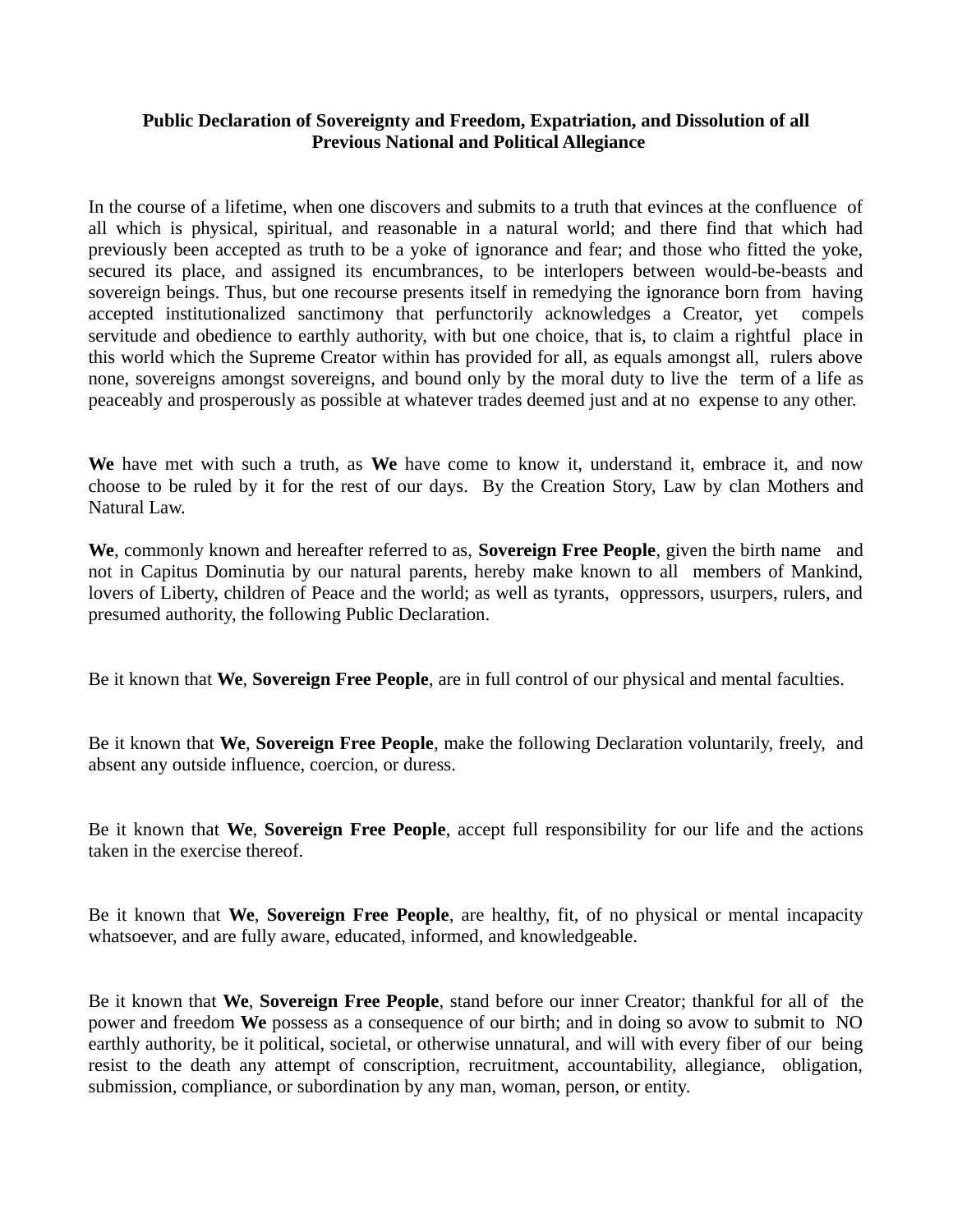## **Public Declaration of Sovereignty and Freedom, Expatriation, and Dissolution of all Previous National and Political Allegiance**

In the course of a lifetime, when one discovers and submits to a truth that evinces at the confluence of all which is physical, spiritual, and reasonable in a natural world; and there find that which had previously been accepted as truth to be a yoke of ignorance and fear; and those who fitted the yoke, secured its place, and assigned its encumbrances, to be interlopers between would-be-beasts and sovereign beings. Thus, but one recourse presents itself in remedying the ignorance born from having accepted institutionalized sanctimony that perfunctorily acknowledges a Creator, yet compels servitude and obedience to earthly authority, with but one choice, that is, to claim a rightful place in this world which the Supreme Creator within has provided for all, as equals amongst all, rulers above none, sovereigns amongst sovereigns, and bound only by the moral duty to live the term of a life as peaceably and prosperously as possible at whatever trades deemed just and at no expense to any other.

**We** have met with such a truth, as **We** have come to know it, understand it, embrace it, and now choose to be ruled by it for the rest of our days. By the Creation Story, Law by clan Mothers and Natural Law.

**We**, commonly known and hereafter referred to as, **Sovereign Free People**, given the birth name and not in Capitus Dominutia by our natural parents, hereby make known to all members of Mankind, lovers of Liberty, children of Peace and the world; as well as tyrants, oppressors, usurpers, rulers, and presumed authority, the following Public Declaration.

Be it known that **We**, **Sovereign Free People**, are in full control of our physical and mental faculties.

Be it known that **We**, **Sovereign Free People**, make the following Declaration voluntarily, freely, and absent any outside influence, coercion, or duress.

Be it known that **We**, **Sovereign Free People**, accept full responsibility for our life and the actions taken in the exercise thereof.

Be it known that **We**, **Sovereign Free People**, are healthy, fit, of no physical or mental incapacity whatsoever, and are fully aware, educated, informed, and knowledgeable.

Be it known that **We**, **Sovereign Free People**, stand before our inner Creator; thankful for all of the power and freedom **We** possess as a consequence of our birth; and in doing so avow to submit to NO earthly authority, be it political, societal, or otherwise unnatural, and will with every fiber of our being resist to the death any attempt of conscription, recruitment, accountability, allegiance, obligation, submission, compliance, or subordination by any man, woman, person, or entity.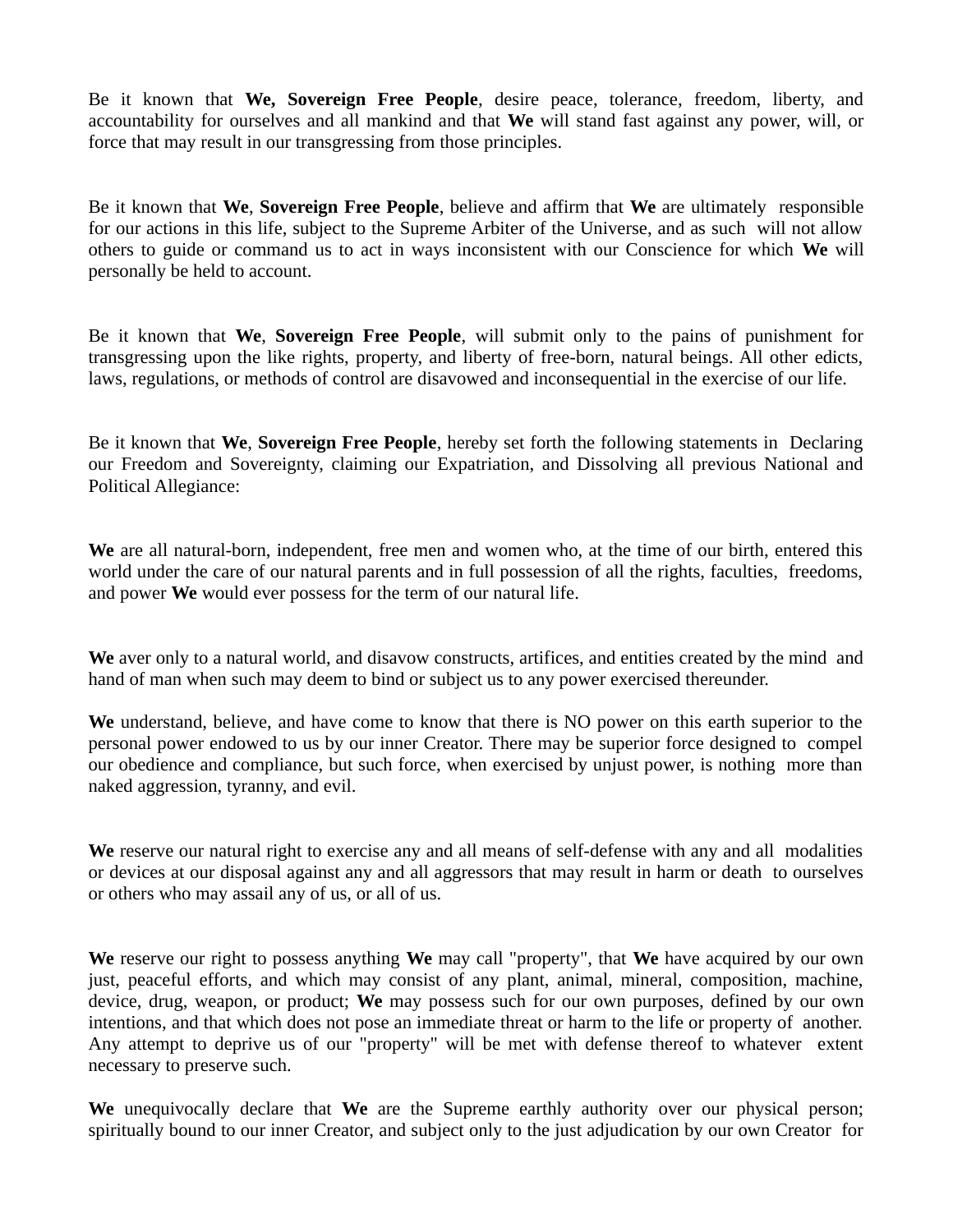Be it known that **We, Sovereign Free People**, desire peace, tolerance, freedom, liberty, and accountability for ourselves and all mankind and that **We** will stand fast against any power, will, or force that may result in our transgressing from those principles.

Be it known that **We**, **Sovereign Free People**, believe and affirm that **We** are ultimately responsible for our actions in this life, subject to the Supreme Arbiter of the Universe, and as such will not allow others to guide or command us to act in ways inconsistent with our Conscience for which **We** will personally be held to account.

Be it known that **We**, **Sovereign Free People**, will submit only to the pains of punishment for transgressing upon the like rights, property, and liberty of free-born, natural beings. All other edicts, laws, regulations, or methods of control are disavowed and inconsequential in the exercise of our life.

Be it known that **We**, **Sovereign Free People**, hereby set forth the following statements in Declaring our Freedom and Sovereignty, claiming our Expatriation, and Dissolving all previous National and Political Allegiance:

**We** are all natural-born, independent, free men and women who, at the time of our birth, entered this world under the care of our natural parents and in full possession of all the rights, faculties, freedoms, and power **We** would ever possess for the term of our natural life.

We aver only to a natural world, and disavow constructs, artifices, and entities created by the mind and hand of man when such may deem to bind or subject us to any power exercised thereunder.

**We** understand, believe, and have come to know that there is NO power on this earth superior to the personal power endowed to us by our inner Creator. There may be superior force designed to compel our obedience and compliance, but such force, when exercised by unjust power, is nothing more than naked aggression, tyranny, and evil.

**We** reserve our natural right to exercise any and all means of self-defense with any and all modalities or devices at our disposal against any and all aggressors that may result in harm or death to ourselves or others who may assail any of us, or all of us.

**We** reserve our right to possess anything **We** may call "property", that **We** have acquired by our own just, peaceful efforts, and which may consist of any plant, animal, mineral, composition, machine, device, drug, weapon, or product; **We** may possess such for our own purposes, defined by our own intentions, and that which does not pose an immediate threat or harm to the life or property of another. Any attempt to deprive us of our "property" will be met with defense thereof to whatever extent necessary to preserve such.

**We** unequivocally declare that **We** are the Supreme earthly authority over our physical person; spiritually bound to our inner Creator, and subject only to the just adjudication by our own Creator for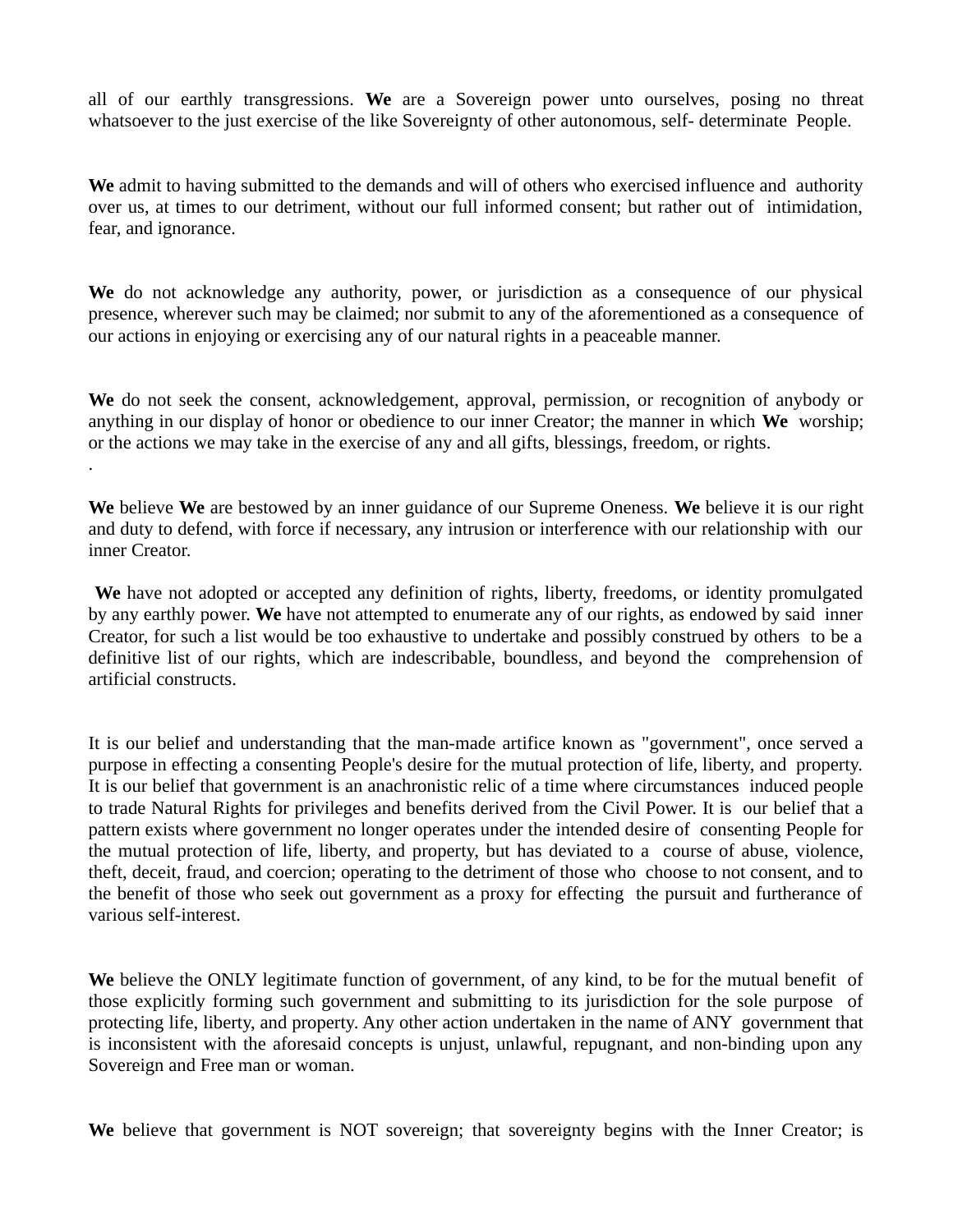all of our earthly transgressions. **We** are a Sovereign power unto ourselves, posing no threat whatsoever to the just exercise of the like Sovereignty of other autonomous, self- determinate People.

**We** admit to having submitted to the demands and will of others who exercised influence and authority over us, at times to our detriment, without our full informed consent; but rather out of intimidation, fear, and ignorance.

**We** do not acknowledge any authority, power, or jurisdiction as a consequence of our physical presence, wherever such may be claimed; nor submit to any of the aforementioned as a consequence of our actions in enjoying or exercising any of our natural rights in a peaceable manner.

**We** do not seek the consent, acknowledgement, approval, permission, or recognition of anybody or anything in our display of honor or obedience to our inner Creator; the manner in which **We** worship; or the actions we may take in the exercise of any and all gifts, blessings, freedom, or rights.

.

**We** believe **We** are bestowed by an inner guidance of our Supreme Oneness. **We** believe it is our right and duty to defend, with force if necessary, any intrusion or interference with our relationship with our inner Creator.

**We** have not adopted or accepted any definition of rights, liberty, freedoms, or identity promulgated by any earthly power. **We** have not attempted to enumerate any of our rights, as endowed by said inner Creator, for such a list would be too exhaustive to undertake and possibly construed by others to be a definitive list of our rights, which are indescribable, boundless, and beyond the comprehension of artificial constructs.

It is our belief and understanding that the man-made artifice known as "government", once served a purpose in effecting a consenting People's desire for the mutual protection of life, liberty, and property. It is our belief that government is an anachronistic relic of a time where circumstances induced people to trade Natural Rights for privileges and benefits derived from the Civil Power. It is our belief that a pattern exists where government no longer operates under the intended desire of consenting People for the mutual protection of life, liberty, and property, but has deviated to a course of abuse, violence, theft, deceit, fraud, and coercion; operating to the detriment of those who choose to not consent, and to the benefit of those who seek out government as a proxy for effecting the pursuit and furtherance of various self-interest.

**We** believe the ONLY legitimate function of government, of any kind, to be for the mutual benefit of those explicitly forming such government and submitting to its jurisdiction for the sole purpose of protecting life, liberty, and property. Any other action undertaken in the name of ANY government that is inconsistent with the aforesaid concepts is unjust, unlawful, repugnant, and non-binding upon any Sovereign and Free man or woman.

**We** believe that government is NOT sovereign; that sovereignty begins with the Inner Creator; is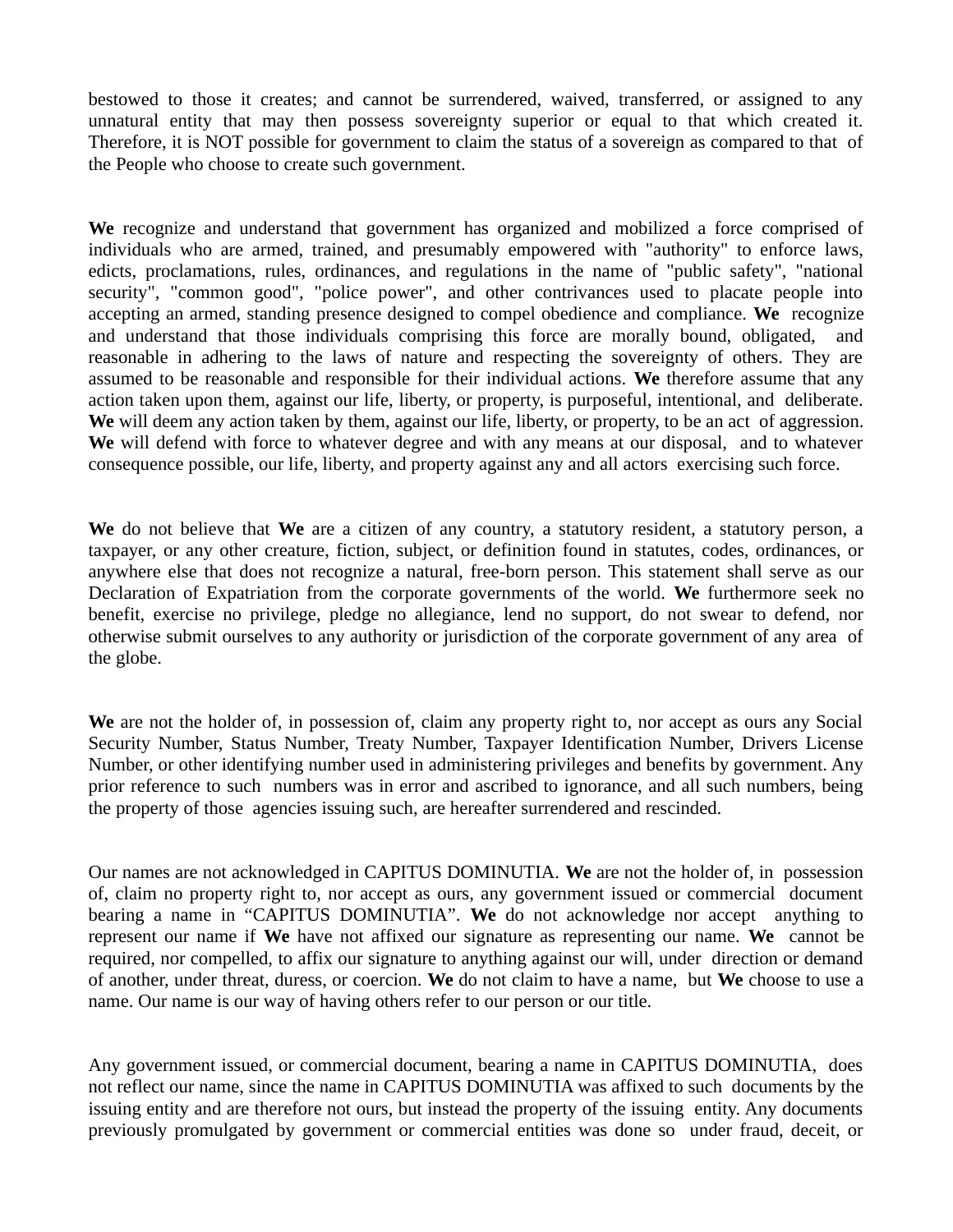bestowed to those it creates; and cannot be surrendered, waived, transferred, or assigned to any unnatural entity that may then possess sovereignty superior or equal to that which created it. Therefore, it is NOT possible for government to claim the status of a sovereign as compared to that of the People who choose to create such government.

**We** recognize and understand that government has organized and mobilized a force comprised of individuals who are armed, trained, and presumably empowered with "authority" to enforce laws, edicts, proclamations, rules, ordinances, and regulations in the name of "public safety", "national security", "common good", "police power", and other contrivances used to placate people into accepting an armed, standing presence designed to compel obedience and compliance. **We** recognize and understand that those individuals comprising this force are morally bound, obligated, and reasonable in adhering to the laws of nature and respecting the sovereignty of others. They are assumed to be reasonable and responsible for their individual actions. **We** therefore assume that any action taken upon them, against our life, liberty, or property, is purposeful, intentional, and deliberate. **We** will deem any action taken by them, against our life, liberty, or property, to be an act of aggression. **We** will defend with force to whatever degree and with any means at our disposal, and to whatever consequence possible, our life, liberty, and property against any and all actors exercising such force.

**We** do not believe that **We** are a citizen of any country, a statutory resident, a statutory person, a taxpayer, or any other creature, fiction, subject, or definition found in statutes, codes, ordinances, or anywhere else that does not recognize a natural, free-born person. This statement shall serve as our Declaration of Expatriation from the corporate governments of the world. **We** furthermore seek no benefit, exercise no privilege, pledge no allegiance, lend no support, do not swear to defend, nor otherwise submit ourselves to any authority or jurisdiction of the corporate government of any area of the globe.

**We** are not the holder of, in possession of, claim any property right to, nor accept as ours any Social Security Number, Status Number, Treaty Number, Taxpayer Identification Number, Drivers License Number, or other identifying number used in administering privileges and benefits by government. Any prior reference to such numbers was in error and ascribed to ignorance, and all such numbers, being the property of those agencies issuing such, are hereafter surrendered and rescinded.

Our names are not acknowledged in CAPITUS DOMINUTIA. **We** are not the holder of, in possession of, claim no property right to, nor accept as ours, any government issued or commercial document bearing a name in "CAPITUS DOMINUTIA". **We** do not acknowledge nor accept anything to represent our name if **We** have not affixed our signature as representing our name. **We** cannot be required, nor compelled, to affix our signature to anything against our will, under direction or demand of another, under threat, duress, or coercion. **We** do not claim to have a name, but **We** choose to use a name. Our name is our way of having others refer to our person or our title.

Any government issued, or commercial document, bearing a name in CAPITUS DOMINUTIA, does not reflect our name, since the name in CAPITUS DOMINUTIA was affixed to such documents by the issuing entity and are therefore not ours, but instead the property of the issuing entity. Any documents previously promulgated by government or commercial entities was done so under fraud, deceit, or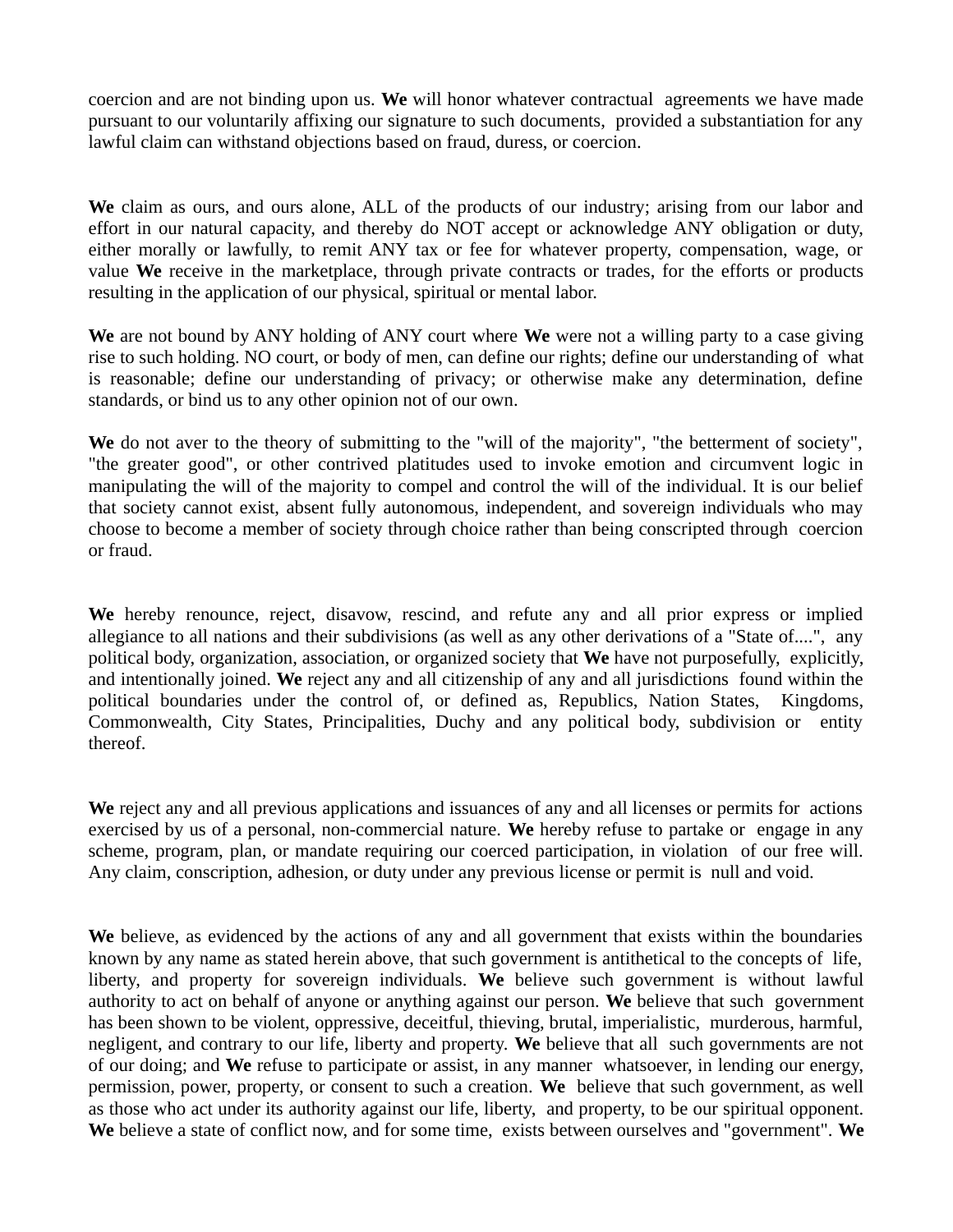coercion and are not binding upon us. **We** will honor whatever contractual agreements we have made pursuant to our voluntarily affixing our signature to such documents, provided a substantiation for any lawful claim can withstand objections based on fraud, duress, or coercion.

**We** claim as ours, and ours alone, ALL of the products of our industry; arising from our labor and effort in our natural capacity, and thereby do NOT accept or acknowledge ANY obligation or duty, either morally or lawfully, to remit ANY tax or fee for whatever property, compensation, wage, or value **We** receive in the marketplace, through private contracts or trades, for the efforts or products resulting in the application of our physical, spiritual or mental labor.

**We** are not bound by ANY holding of ANY court where **We** were not a willing party to a case giving rise to such holding. NO court, or body of men, can define our rights; define our understanding of what is reasonable; define our understanding of privacy; or otherwise make any determination, define standards, or bind us to any other opinion not of our own.

We do not aver to the theory of submitting to the "will of the majority", "the betterment of society", "the greater good", or other contrived platitudes used to invoke emotion and circumvent logic in manipulating the will of the majority to compel and control the will of the individual. It is our belief that society cannot exist, absent fully autonomous, independent, and sovereign individuals who may choose to become a member of society through choice rather than being conscripted through coercion or fraud.

**We** hereby renounce, reject, disavow, rescind, and refute any and all prior express or implied allegiance to all nations and their subdivisions (as well as any other derivations of a "State of....", any political body, organization, association, or organized society that **We** have not purposefully, explicitly, and intentionally joined. **We** reject any and all citizenship of any and all jurisdictions found within the political boundaries under the control of, or defined as, Republics, Nation States, Kingdoms, Commonwealth, City States, Principalities, Duchy and any political body, subdivision or entity thereof.

**We** reject any and all previous applications and issuances of any and all licenses or permits for actions exercised by us of a personal, non-commercial nature. **We** hereby refuse to partake or engage in any scheme, program, plan, or mandate requiring our coerced participation, in violation of our free will. Any claim, conscription, adhesion, or duty under any previous license or permit is null and void.

**We** believe, as evidenced by the actions of any and all government that exists within the boundaries known by any name as stated herein above, that such government is antithetical to the concepts of life, liberty, and property for sovereign individuals. **We** believe such government is without lawful authority to act on behalf of anyone or anything against our person. **We** believe that such government has been shown to be violent, oppressive, deceitful, thieving, brutal, imperialistic, murderous, harmful, negligent, and contrary to our life, liberty and property. **We** believe that all such governments are not of our doing; and **We** refuse to participate or assist, in any manner whatsoever, in lending our energy, permission, power, property, or consent to such a creation. **We** believe that such government, as well as those who act under its authority against our life, liberty, and property, to be our spiritual opponent. **We** believe a state of conflict now, and for some time, exists between ourselves and "government". **We**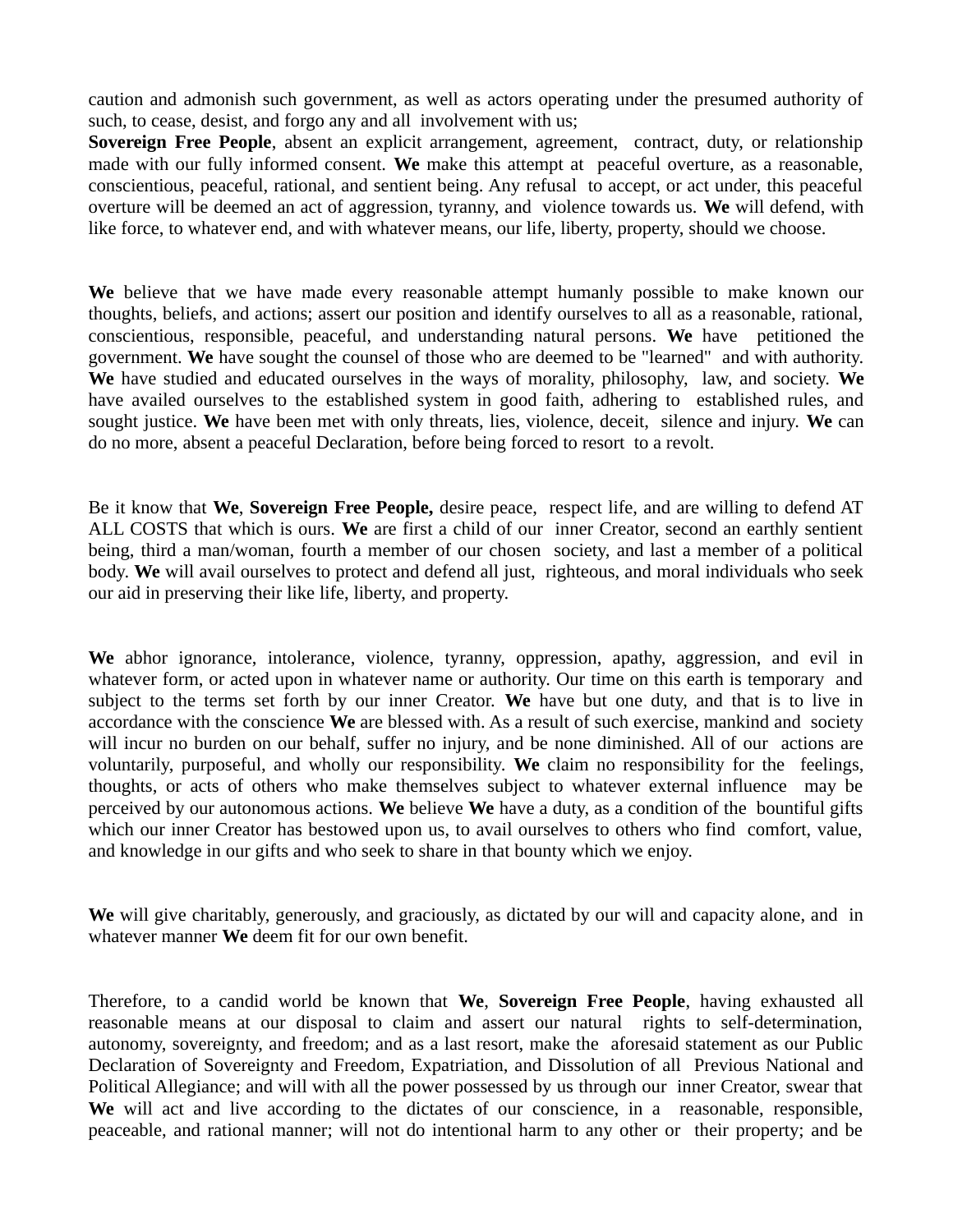caution and admonish such government, as well as actors operating under the presumed authority of such, to cease, desist, and forgo any and all involvement with us;

**Sovereign Free People**, absent an explicit arrangement, agreement, contract, duty, or relationship made with our fully informed consent. **We** make this attempt at peaceful overture, as a reasonable, conscientious, peaceful, rational, and sentient being. Any refusal to accept, or act under, this peaceful overture will be deemed an act of aggression, tyranny, and violence towards us. **We** will defend, with like force, to whatever end, and with whatever means, our life, liberty, property, should we choose.

**We** believe that we have made every reasonable attempt humanly possible to make known our thoughts, beliefs, and actions; assert our position and identify ourselves to all as a reasonable, rational, conscientious, responsible, peaceful, and understanding natural persons. **We** have petitioned the government. **We** have sought the counsel of those who are deemed to be "learned" and with authority. **We** have studied and educated ourselves in the ways of morality, philosophy, law, and society. **We** have availed ourselves to the established system in good faith, adhering to established rules, and sought justice. **We** have been met with only threats, lies, violence, deceit, silence and injury. **We** can do no more, absent a peaceful Declaration, before being forced to resort to a revolt.

Be it know that **We**, **Sovereign Free People,** desire peace, respect life, and are willing to defend AT ALL COSTS that which is ours. **We** are first a child of our inner Creator, second an earthly sentient being, third a man/woman, fourth a member of our chosen society, and last a member of a political body. **We** will avail ourselves to protect and defend all just, righteous, and moral individuals who seek our aid in preserving their like life, liberty, and property.

**We** abhor ignorance, intolerance, violence, tyranny, oppression, apathy, aggression, and evil in whatever form, or acted upon in whatever name or authority. Our time on this earth is temporary and subject to the terms set forth by our inner Creator. **We** have but one duty, and that is to live in accordance with the conscience **We** are blessed with. As a result of such exercise, mankind and society will incur no burden on our behalf, suffer no injury, and be none diminished. All of our actions are voluntarily, purposeful, and wholly our responsibility. **We** claim no responsibility for the feelings, thoughts, or acts of others who make themselves subject to whatever external influence may be perceived by our autonomous actions. **We** believe **We** have a duty, as a condition of the bountiful gifts which our inner Creator has bestowed upon us, to avail ourselves to others who find comfort, value, and knowledge in our gifts and who seek to share in that bounty which we enjoy.

**We** will give charitably, generously, and graciously, as dictated by our will and capacity alone, and in whatever manner **We** deem fit for our own benefit.

Therefore, to a candid world be known that **We**, **Sovereign Free People**, having exhausted all reasonable means at our disposal to claim and assert our natural rights to self-determination, autonomy, sovereignty, and freedom; and as a last resort, make the aforesaid statement as our Public Declaration of Sovereignty and Freedom, Expatriation, and Dissolution of all Previous National and Political Allegiance; and will with all the power possessed by us through our inner Creator, swear that **We** will act and live according to the dictates of our conscience, in a reasonable, responsible, peaceable, and rational manner; will not do intentional harm to any other or their property; and be